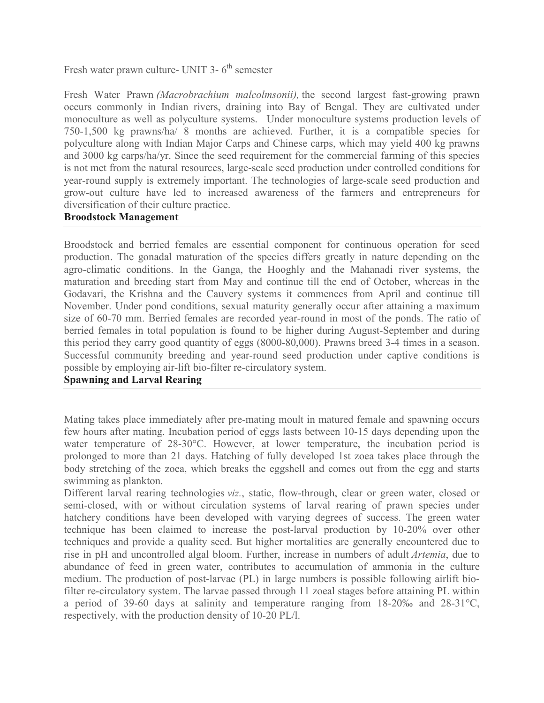Fresh water prawn culture- UNIT  $3-6$ <sup>th</sup> semester

Fresh Water Prawn *(Macrobrachium malcolmsonii),* the second largest fast-growing prawn occurs commonly in Indian rivers, draining into Bay of Bengal. They are cultivated under monoculture as well as polyculture systems. Under monoculture systems production levels of 750-1,500 kg prawns/ha/ 8 months are achieved. Further, it is a compatible species for polyculture along with Indian Major Carps and Chinese carps, which may yield 400 kg prawns and 3000 kg carps/ha/yr. Since the seed requirement for the commercial farming of this species is not met from the natural resources, large-scale seed production under controlled conditions for year-round supply is extremely important. The technologies of large-scale seed production and grow-out culture have led to increased awareness of the farmers and entrepreneurs for diversification of their culture practice.

#### **Broodstock Management**

Broodstock and berried females are essential component for continuous operation for seed production. The gonadal maturation of the species differs greatly in nature depending on the agro-climatic conditions. In the Ganga, the Hooghly and the Mahanadi river systems, the maturation and breeding start from May and continue till the end of October, whereas in the Godavari, the Krishna and the Cauvery systems it commences from April and continue till November. Under pond conditions, sexual maturity generally occur after attaining a maximum size of 60-70 mm. Berried females are recorded year-round in most of the ponds. The ratio of berried females in total population is found to be higher during August-September and during this period they carry good quantity of eggs (8000-80,000). Prawns breed 3-4 times in a season. Successful community breeding and year-round seed production under captive conditions is possible by employing air-lift bio-filter re-circulatory system.

## **Spawning and Larval Rearing**

Mating takes place immediately after pre-mating moult in matured female and spawning occurs few hours after mating. Incubation period of eggs lasts between 10-15 days depending upon the water temperature of 28-30°C. However, at lower temperature, the incubation period is prolonged to more than 21 days. Hatching of fully developed 1st zoea takes place through the body stretching of the zoea, which breaks the eggshell and comes out from the egg and starts swimming as plankton.

Different larval rearing technologies *viz.*, static, flow-through, clear or green water, closed or semi-closed, with or without circulation systems of larval rearing of prawn species under hatchery conditions have been developed with varying degrees of success. The green water technique has been claimed to increase the post-larval production by 10-20% over other techniques and provide a quality seed. But higher mortalities are generally encountered due to rise in pH and uncontrolled algal bloom. Further, increase in numbers of adult *Artemia*, due to abundance of feed in green water, contributes to accumulation of ammonia in the culture medium. The production of post-larvae (PL) in large numbers is possible following airlift biofilter re-circulatory system. The larvae passed through 11 zoeal stages before attaining PL within a period of 39-60 days at salinity and temperature ranging from 18-20‰ and 28-31°C, respectively, with the production density of 10-20 PL/l.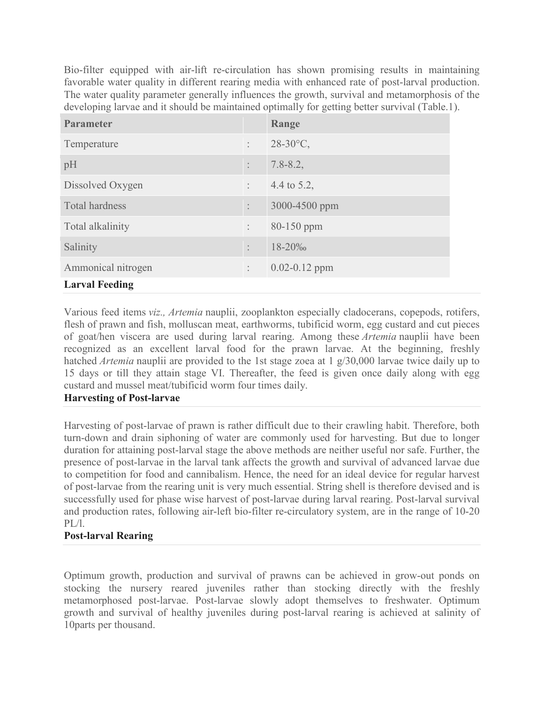Bio-filter equipped with air-lift re-circulation has shown promising results in maintaining favorable water quality in different rearing media with enhanced rate of post-larval production. The water quality parameter generally influences the growth, survival and metamorphosis of the developing larvae and it should be maintained optimally for getting better survival (Table.1).

| <b>Parameter</b>      |                | Range             |  |  |  |
|-----------------------|----------------|-------------------|--|--|--|
| Temperature           | $\ddot{\cdot}$ | $28-30$ °C,       |  |  |  |
| pH                    | $\ddot{\cdot}$ | $7.8 - 8.2$ ,     |  |  |  |
| Dissolved Oxygen      | $\ddot{\cdot}$ | 4.4 to 5.2,       |  |  |  |
| <b>Total hardness</b> | $\ddot{\cdot}$ | 3000-4500 ppm     |  |  |  |
| Total alkalinity      | $\ddot{\cdot}$ | $80 - 150$ ppm    |  |  |  |
| Salinity              | $\ddot{\cdot}$ | 18-20‰            |  |  |  |
| Ammonical nitrogen    | $\ddot{\cdot}$ | $0.02 - 0.12$ ppm |  |  |  |
| <b>Larval Feeding</b> |                |                   |  |  |  |

Various feed items *viz., Artemia* nauplii, zooplankton especially cladocerans, copepods, rotifers, flesh of prawn and fish, molluscan meat, earthworms, tubificid worm, egg custard and cut pieces of goat/hen viscera are used during larval rearing. Among these *Artemia* nauplii have been recognized as an excellent larval food for the prawn larvae. At the beginning, freshly hatched *Artemia* nauplii are provided to the 1st stage zoea at 1 g/30,000 larvae twice daily up to 15 days or till they attain stage VI. Thereafter, the feed is given once daily along with egg custard and mussel meat/tubificid worm four times daily.

## **Harvesting of Post-larvae**

Harvesting of post-larvae of prawn is rather difficult due to their crawling habit. Therefore, both turn-down and drain siphoning of water are commonly used for harvesting. But due to longer duration for attaining post-larval stage the above methods are neither useful nor safe. Further, the presence of post-larvae in the larval tank affects the growth and survival of advanced larvae due to competition for food and cannibalism. Hence, the need for an ideal device for regular harvest of post-larvae from the rearing unit is very much essential. String shell is therefore devised and is successfully used for phase wise harvest of post-larvae during larval rearing. Post-larval survival and production rates, following air-left bio-filter re-circulatory system, are in the range of 10-20 PL/l.

# **Post-larval Rearing**

Optimum growth, production and survival of prawns can be achieved in grow-out ponds on stocking the nursery reared juveniles rather than stocking directly with the freshly metamorphosed post-larvae. Post-larvae slowly adopt themselves to freshwater. Optimum growth and survival of healthy juveniles during post-larval rearing is achieved at salinity of 10parts per thousand.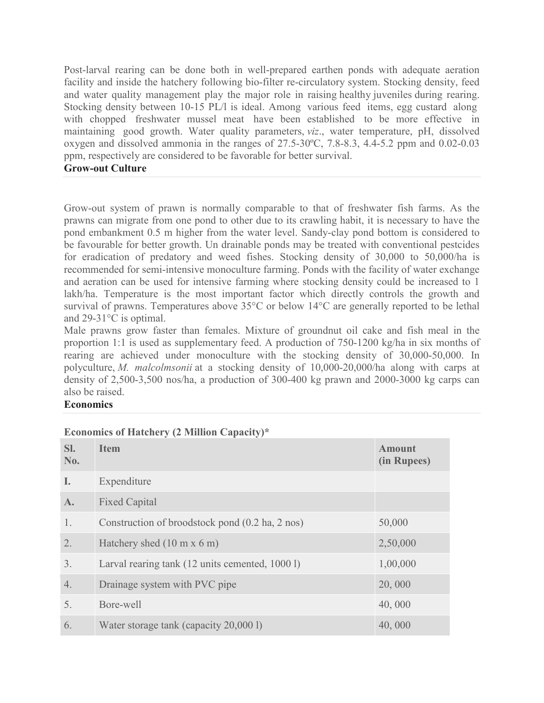Post-larval rearing can be done both in well-prepared earthen ponds with adequate aeration facility and inside the hatchery following bio-filter re-circulatory system. Stocking density, feed and water quality management play the major role in raising healthy juveniles during rearing. Stocking density between 10-15 PL/l is ideal. Among various feed items, egg custard along with chopped freshwater mussel meat have been established to be more effective in maintaining good growth. Water quality parameters, *viz*., water temperature, pH, dissolved oxygen and dissolved ammonia in the ranges of 27.5-30ºC, 7.8-8.3, 4.4-5.2 ppm and 0.02-0.03 ppm, respectively are considered to be favorable for better survival.

#### **Grow-out Culture**

Grow-out system of prawn is normally comparable to that of freshwater fish farms. As the prawns can migrate from one pond to other due to its crawling habit, it is necessary to have the pond embankment 0.5 m higher from the water level. Sandy-clay pond bottom is considered to be favourable for better growth. Un drainable ponds may be treated with conventional pestcides for eradication of predatory and weed fishes. Stocking density of 30,000 to 50,000/ha is recommended for semi-intensive monoculture farming. Ponds with the facility of water exchange and aeration can be used for intensive farming where stocking density could be increased to 1 lakh/ha. Temperature is the most important factor which directly controls the growth and survival of prawns. Temperatures above 35°C or below 14°C are generally reported to be lethal and 29-31°C is optimal.

Male prawns grow faster than females. Mixture of groundnut oil cake and fish meal in the proportion 1:1 is used as supplementary feed. A production of 750-1200 kg/ha in six months of rearing are achieved under monoculture with the stocking density of 30,000-50,000. In polyculture, *M. malcolmsonii* at a stocking density of 10,000-20,000/ha along with carps at density of 2,500-3,500 nos/ha, a production of 300-400 kg prawn and 2000-3000 kg carps can also be raised.

### **Economics**

| SI.<br>No. | <b>Item</b>                                     | <b>Amount</b><br>(in Rupees) |
|------------|-------------------------------------------------|------------------------------|
| I.         | Expenditure                                     |                              |
| A.         | <b>Fixed Capital</b>                            |                              |
| 1.         | Construction of broodstock pond (0.2 ha, 2 nos) | 50,000                       |
| 2.         | Hatchery shed $(10 \text{ m x } 6 \text{ m})$   | 2,50,000                     |
| 3.         | Larval rearing tank (12 units cemented, 1000 l) | 1,00,000                     |
| 4.         | Drainage system with PVC pipe                   | 20,000                       |
| 5.         | Bore-well                                       | 40,000                       |
| 6.         | Water storage tank (capacity 20,000 l)          | 40,000                       |

# **Economics of Hatchery (2 Million Capacity)\***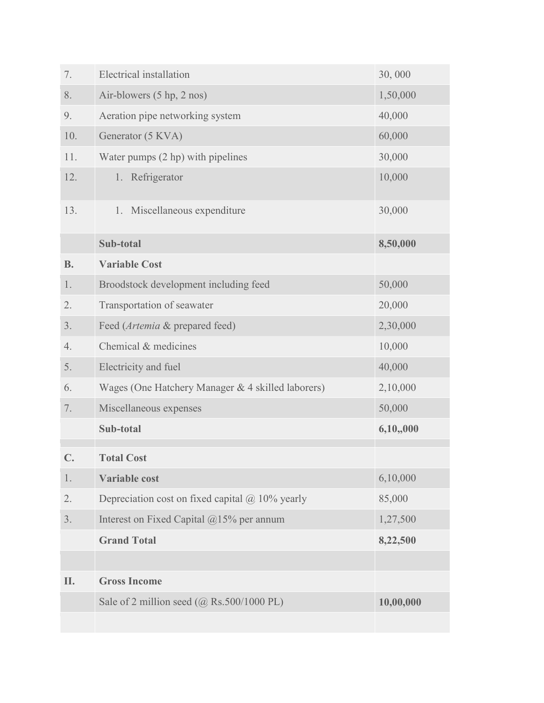| 7.             | Electrical installation                                | 30,000    |
|----------------|--------------------------------------------------------|-----------|
| 8.             | Air-blowers (5 hp, 2 nos)                              | 1,50,000  |
| 9.             | Aeration pipe networking system                        | 40,000    |
| 10.            | Generator (5 KVA)                                      | 60,000    |
| 11.            | Water pumps (2 hp) with pipelines                      | 30,000    |
| 12.            | 1. Refrigerator                                        | 10,000    |
| 13.            | 1. Miscellaneous expenditure                           | 30,000    |
|                | Sub-total                                              | 8,50,000  |
| <b>B.</b>      | <b>Variable Cost</b>                                   |           |
| 1.             | Broodstock development including feed                  | 50,000    |
| 2.             | Transportation of seawater                             | 20,000    |
| 3.             | Feed (Artemia & prepared feed)                         | 2,30,000  |
| 4.             | Chemical & medicines                                   | 10,000    |
| 5.             | Electricity and fuel                                   | 40,000    |
| 6.             | Wages (One Hatchery Manager & 4 skilled laborers)      | 2,10,000  |
| 7.             | Miscellaneous expenses                                 | 50,000    |
|                | Sub-total                                              | 6,10,000  |
| $\mathbb{C}$ . | <b>Total Cost</b>                                      |           |
| 1.             | <b>Variable cost</b>                                   | 6,10,000  |
| 2.             | Depreciation cost on fixed capital $\omega$ 10% yearly | 85,000    |
| 3.             | Interest on Fixed Capital $@15%$ per annum             | 1,27,500  |
|                | <b>Grand Total</b>                                     | 8,22,500  |
|                |                                                        |           |
| II.            | <b>Gross Income</b>                                    |           |
|                | Sale of 2 million seed (@ Rs.500/1000 PL)              | 10,00,000 |
|                |                                                        |           |